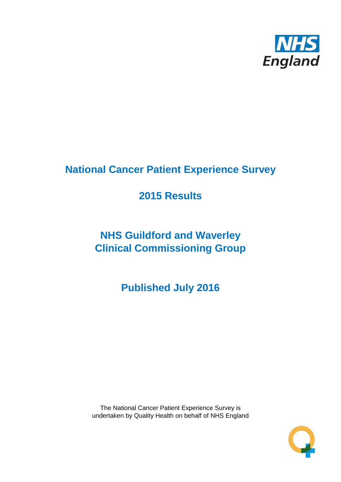

# **National Cancer Patient Experience Survey**

# **2015 Results**

# **NHS Guildford and Waverley Clinical Commissioning Group**

**Published July 2016**

The National Cancer Patient Experience Survey is undertaken by Quality Health on behalf of NHS England

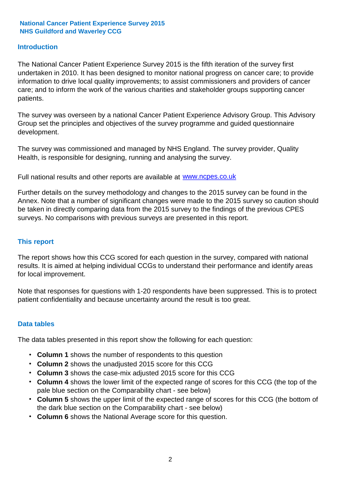#### **Introduction**

The National Cancer Patient Experience Survey 2015 is the fifth iteration of the survey first undertaken in 2010. It has been designed to monitor national progress on cancer care; to provide information to drive local quality improvements; to assist commissioners and providers of cancer care; and to inform the work of the various charities and stakeholder groups supporting cancer patients.

The survey was overseen by a national Cancer Patient Experience Advisory Group. This Advisory Group set the principles and objectives of the survey programme and guided questionnaire development.

The survey was commissioned and managed by NHS England. The survey provider, Quality Health, is responsible for designing, running and analysing the survey.

Full national results and other reports are available at www.ncpes.co.uk

Further details on the survey methodology and changes to the 2015 survey can be found in the Annex. Note that a number of significant changes were made to the 2015 survey so caution should be taken in directly comparing data from the 2015 survey to the findings of the previous CPES surveys. No comparisons with previous surveys are presented in this report.

#### **This report**

The report shows how this CCG scored for each question in the survey, compared with national results. It is aimed at helping individual CCGs to understand their performance and identify areas for local improvement.

Note that responses for questions with 1-20 respondents have been suppressed. This is to protect patient confidentiality and because uncertainty around the result is too great.

#### **Data tables**

The data tables presented in this report show the following for each question:

- **Column 1** shows the number of respondents to this question
- **Column 2** shows the unadjusted 2015 score for this CCG
- **Column 3** shows the case-mix adjusted 2015 score for this CCG
- **Column 4** shows the lower limit of the expected range of scores for this CCG (the top of the pale blue section on the Comparability chart - see below)
- **Column 5** shows the upper limit of the expected range of scores for this CCG (the bottom of the dark blue section on the Comparability chart - see below)
- **Column 6** shows the National Average score for this question.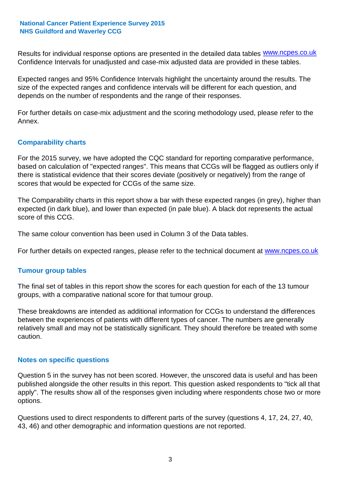Results for individual response options are presented in the detailed data tables **WWW.ncpes.co.uk** Confidence Intervals for unadjusted and case-mix adjusted data are provided in these tables.

Expected ranges and 95% Confidence Intervals highlight the uncertainty around the results. The size of the expected ranges and confidence intervals will be different for each question, and depends on the number of respondents and the range of their responses.

For further details on case-mix adjustment and the scoring methodology used, please refer to the Annex.

#### **Comparability charts**

For the 2015 survey, we have adopted the CQC standard for reporting comparative performance, based on calculation of "expected ranges". This means that CCGs will be flagged as outliers only if there is statistical evidence that their scores deviate (positively or negatively) from the range of scores that would be expected for CCGs of the same size.

The Comparability charts in this report show a bar with these expected ranges (in grey), higher than expected (in dark blue), and lower than expected (in pale blue). A black dot represents the actual score of this CCG.

The same colour convention has been used in Column 3 of the Data tables.

For further details on expected ranges, please refer to the technical document at **www.ncpes.co.uk** 

#### **Tumour group tables**

The final set of tables in this report show the scores for each question for each of the 13 tumour groups, with a comparative national score for that tumour group.

These breakdowns are intended as additional information for CCGs to understand the differences between the experiences of patients with different types of cancer. The numbers are generally relatively small and may not be statistically significant. They should therefore be treated with some caution.

#### **Notes on specific questions**

Question 5 in the survey has not been scored. However, the unscored data is useful and has been published alongside the other results in this report. This question asked respondents to "tick all that apply". The results show all of the responses given including where respondents chose two or more options.

Questions used to direct respondents to different parts of the survey (questions 4, 17, 24, 27, 40, 43, 46) and other demographic and information questions are not reported.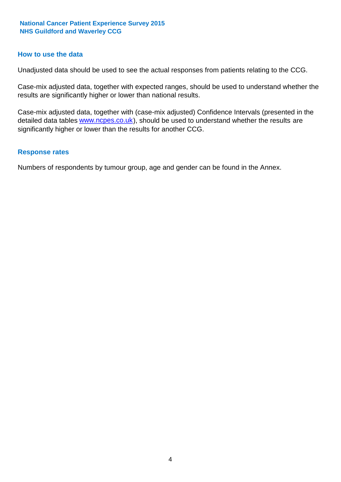#### **How to use the data**

Unadjusted data should be used to see the actual responses from patients relating to the CCG.

Case-mix adjusted data, together with expected ranges, should be used to understand whether the results are significantly higher or lower than national results.

Case-mix adjusted data, together with (case-mix adjusted) Confidence Intervals (presented in the detailed data tables **www.ncpes.co.uk**), should be used to understand whether the results are significantly higher or lower than the results for another CCG.

#### **Response rates**

Numbers of respondents by tumour group, age and gender can be found in the Annex.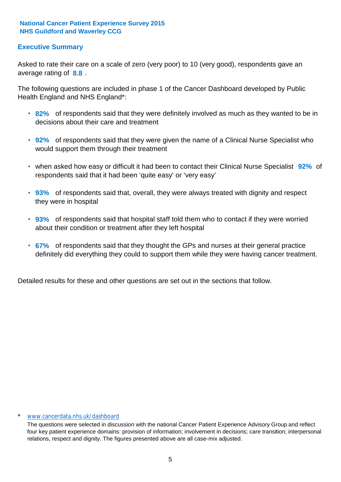#### **Executive Summary**

average rating of **8.8**. Asked to rate their care on a scale of zero (very poor) to 10 (very good), respondents gave an

The following questions are included in phase 1 of the Cancer Dashboard developed by Public Health England and NHS England\*:

- **82%** of respondents said that they were definitely involved as much as they wanted to be in decisions about their care and treatment
- **92%** of respondents said that they were given the name of a Clinical Nurse Specialist who would support them through their treatment
- when asked how easy or difficult it had been to contact their Clinical Nurse Specialist 92% of respondents said that it had been 'quite easy' or 'very easy'
- **93%** of respondents said that, overall, they were always treated with dignity and respect they were in hospital
- **93%** of respondents said that hospital staff told them who to contact if they were worried about their condition or treatment after they left hospital
- **67%** of respondents said that they thought the GPs and nurses at their general practice definitely did everything they could to support them while they were having cancer treatment.

Detailed results for these and other questions are set out in the sections that follow.

#### \* www.cancerdata.nhs.uk/dashboard

The questions were selected in discussion with the national Cancer Patient Experience Advisory Group and reflect four key patient experience domains: provision of information; involvement in decisions; care transition; interpersonal relations, respect and dignity. The figures presented above are all case-mix adjusted.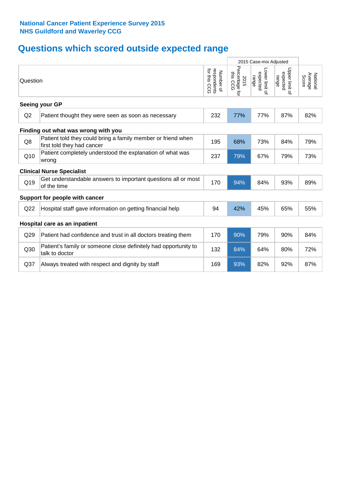# **Questions which scored outside expected range**

|                 |                                                                                            |                                             | 2015 Case-mix Adjusted             |                                     |                                     |                              |
|-----------------|--------------------------------------------------------------------------------------------|---------------------------------------------|------------------------------------|-------------------------------------|-------------------------------------|------------------------------|
| Question        |                                                                                            | for this<br>respondents<br>Number of<br>500 | Percentage for<br>this CCG<br>2015 | Lower limit of<br>expected<br>range | Upper limit of<br>expected<br>range | National<br>Average<br>Score |
|                 | Seeing your GP                                                                             |                                             |                                    |                                     |                                     |                              |
| Q2              | Patient thought they were seen as soon as necessary                                        | 232                                         | 77%                                | 77%                                 | 87%                                 | 82%                          |
|                 | Finding out what was wrong with you                                                        |                                             |                                    |                                     |                                     |                              |
| Q8              | Patient told they could bring a family member or friend when<br>first told they had cancer | 195                                         | 68%                                | 73%                                 | 84%                                 | 79%                          |
| Q10             | Patient completely understood the explanation of what was<br>wrong                         | 237                                         | 79%                                | 67%                                 | 79%                                 | 73%                          |
|                 | <b>Clinical Nurse Specialist</b>                                                           |                                             |                                    |                                     |                                     |                              |
| Q19             | Get understandable answers to important questions all or most<br>of the time               | 170                                         | 94%                                | 84%                                 | 93%                                 | 89%                          |
|                 | Support for people with cancer                                                             |                                             |                                    |                                     |                                     |                              |
| Q22             | Hospital staff gave information on getting financial help                                  | 94                                          | 42%                                | 45%                                 | 65%                                 | 55%                          |
|                 | Hospital care as an inpatient                                                              |                                             |                                    |                                     |                                     |                              |
| Q29             | Patient had confidence and trust in all doctors treating them                              | 170                                         | 90%                                | 79%                                 | 90%                                 | 84%                          |
| Q30             | Patient's family or someone close definitely had opportunity to<br>talk to doctor          | 132                                         | 84%                                | 64%                                 | 80%                                 | 72%                          |
| Q <sub>37</sub> | Always treated with respect and dignity by staff                                           | 169                                         | 93%                                | 82%                                 | 92%                                 | 87%                          |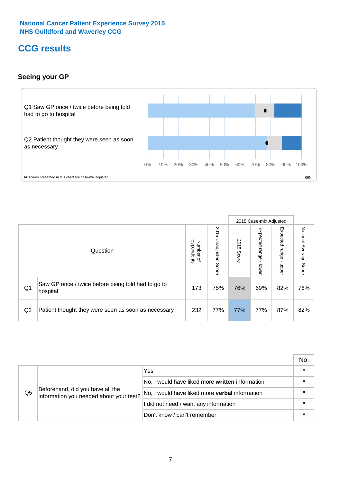# **CCG results**

#### **Seeing your GP**



|    |                                                                |                                         |                             |               | 2015 Case-mix Adjusted     |                            |                           |
|----|----------------------------------------------------------------|-----------------------------------------|-----------------------------|---------------|----------------------------|----------------------------|---------------------------|
|    | Question                                                       | respondents<br>Number<br>$\overline{a}$ | 2015<br>Unadjusted<br>Score | 2015<br>Score | Expected<br>range<br>lower | Expected<br>range<br>dpper | National Average<br>Score |
| Q1 | Saw GP once / twice before being told had to go to<br>hospital | 173                                     | 75%                         | 76%           | 69%                        | 82%                        | 76%                       |
| Q2 | Patient thought they were seen as soon as necessary            | 232                                     | 77%                         | 77%           | 77%                        | 87%                        | 82%                       |

|    |                                                                             |                                                       | No.     |
|----|-----------------------------------------------------------------------------|-------------------------------------------------------|---------|
|    | Beforehand, did you have all the<br>information you needed about your test? | Yes                                                   | $\star$ |
|    |                                                                             | No, I would have liked more written information       | $\star$ |
| Q5 |                                                                             | No, I would have liked more <b>verbal</b> information | $\star$ |
|    |                                                                             | I did not need / want any information                 | $\star$ |
|    |                                                                             | Don't know / can't remember                           | $\star$ |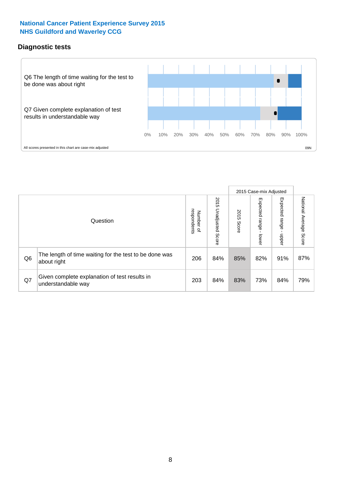#### **Diagnostic tests**



|                |                                                                       |                                       |                             |               | 2015 Case-mix Adjusted  |                         |                           |
|----------------|-----------------------------------------------------------------------|---------------------------------------|-----------------------------|---------------|-------------------------|-------------------------|---------------------------|
|                | Question                                                              | respondents<br>Number<br>$\mathbf{Q}$ | 2015<br>Unadjusted<br>Score | 2015<br>Score | Expected range<br>lower | Expected range<br>doper | National Average<br>Score |
| Q <sub>6</sub> | The length of time waiting for the test to be done was<br>about right | 206                                   | 84%                         | 85%           | 82%                     | 91%                     | 87%                       |
| Q7             | Given complete explanation of test results in<br>understandable way   | 203                                   | 84%                         | 83%           | 73%                     | 84%                     | 79%                       |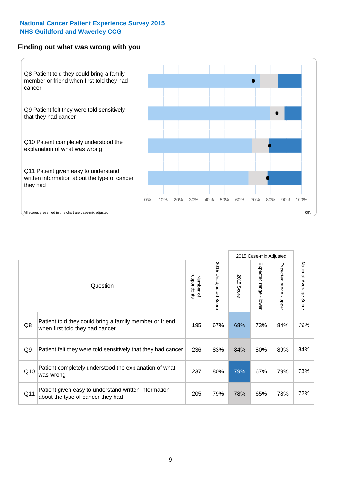#### **Finding out what was wrong with you**



|                | Question                                                                                   | respondents<br>Number of | 2015<br>Unadjusted<br>Score | 2015<br>Score | 2015 Case-mix Adjusted<br>Expected range - lower | Expected range<br>$\mathbf{r}$<br>nbber | National Average<br>Score |
|----------------|--------------------------------------------------------------------------------------------|--------------------------|-----------------------------|---------------|--------------------------------------------------|-----------------------------------------|---------------------------|
| Q8             | Patient told they could bring a family member or friend<br>when first told they had cancer | 195                      | 67%                         | 68%           | 73%                                              | 84%                                     | 79%                       |
| Q <sub>9</sub> | Patient felt they were told sensitively that they had cancer                               | 236                      | 83%                         | 84%           | 80%                                              | 89%                                     | 84%                       |
| Q10            | Patient completely understood the explanation of what<br>was wrong                         | 237                      | 80%                         | 79%           | 67%                                              | 79%                                     | 73%                       |
| Q11            | Patient given easy to understand written information<br>about the type of cancer they had  | 205                      | 79%                         | 78%           | 65%                                              | 78%                                     | 72%                       |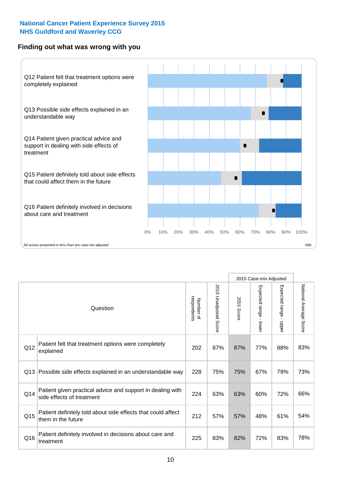#### **Finding out what was wrong with you**



|          |                                                                                         |                          |                          |               | 2015 Case-mix Adjusted                    |                           |                        |
|----------|-----------------------------------------------------------------------------------------|--------------------------|--------------------------|---------------|-------------------------------------------|---------------------------|------------------------|
| Question |                                                                                         | Number of<br>respondents | 2015<br>Unadjusted Score | 2015<br>Score | Expected range<br>$\blacksquare$<br>lower | Expected range -<br>nbber | National Average Score |
| Q12      | Patient felt that treatment options were completely<br>explained                        | 202                      | 87%                      | 87%           | 77%                                       | 88%                       | 83%                    |
| Q13      | Possible side effects explained in an understandable way                                | 228                      | 75%                      | 75%           | 67%                                       | 79%                       | 73%                    |
| Q14      | Patient given practical advice and support in dealing with<br>side effects of treatment | 224                      | 63%                      | 63%           | 60%                                       | 72%                       | 66%                    |
| Q15      | Patient definitely told about side effects that could affect<br>them in the future      | 212                      | 57%                      | 57%           | 48%                                       | 61%                       | 54%                    |
| Q16      | Patient definitely involved in decisions about care and<br>treatment                    | 225                      | 83%                      | 82%           | 72%                                       | 83%                       | 78%                    |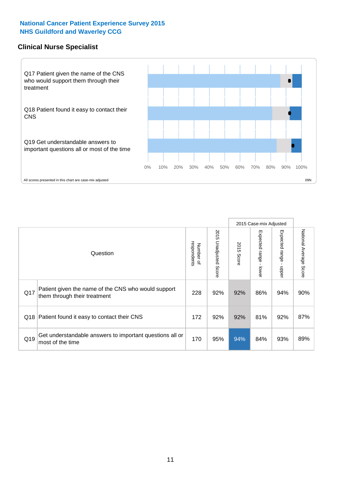#### **Clinical Nurse Specialist**



|     |                                                                                     |                          |                       |               | 2015 Case-mix Adjusted  |                         |                                  |
|-----|-------------------------------------------------------------------------------------|--------------------------|-----------------------|---------------|-------------------------|-------------------------|----------------------------------|
|     | Question                                                                            | Number of<br>respondents | 2015 Unadjusted Score | 2015<br>Score | Expected range<br>lower | Expected range<br>nbber | National Average<br><b>Score</b> |
| Q17 | Patient given the name of the CNS who would support<br>them through their treatment | 228                      | 92%                   | 92%           | 86%                     | 94%                     | 90%                              |
| Q18 | Patient found it easy to contact their CNS                                          | 172                      | 92%                   | 92%           | 81%                     | 92%                     | 87%                              |
| Q19 | Get understandable answers to important questions all or<br>most of the time        | 170                      | 95%                   | 94%           | 84%                     | 93%                     | 89%                              |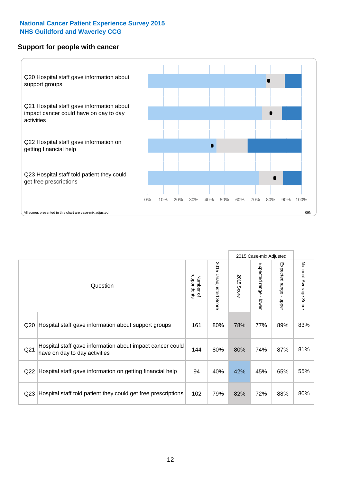#### **Support for people with cancer**



|                 |                                                                                            |                          |                             |               | 2015 Case-mix Adjusted  |                                           |                        |
|-----------------|--------------------------------------------------------------------------------------------|--------------------------|-----------------------------|---------------|-------------------------|-------------------------------------------|------------------------|
|                 | Question                                                                                   | respondents<br>Number of | 2015<br>Unadjusted<br>Score | 2015<br>Score | Expected range<br>lower | Expected range<br>$\blacksquare$<br>nbber | National Average Score |
| Q20             | Hospital staff gave information about support groups                                       | 161                      | 80%                         | 78%           | 77%                     | 89%                                       | 83%                    |
| Q <sub>21</sub> | Hospital staff gave information about impact cancer could<br>have on day to day activities | 144                      | 80%                         | 80%           | 74%                     | 87%                                       | 81%                    |
| Q22             | Hospital staff gave information on getting financial help                                  | 94                       | 40%                         | 42%           | 45%                     | 65%                                       | 55%                    |
| Q <sub>23</sub> | Hospital staff told patient they could get free prescriptions                              | 102                      | 79%                         | 82%           | 72%                     | 88%                                       | 80%                    |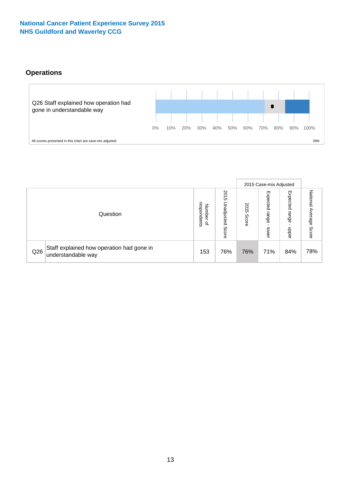#### **Operations**



|     |                                                                 |                                              |                             |                   | 2015 Case-mix Adjusted     |                            |                              |
|-----|-----------------------------------------------------------------|----------------------------------------------|-----------------------------|-------------------|----------------------------|----------------------------|------------------------------|
|     | Question                                                        | respondents<br>Number<br>$\overline{\sigma}$ | 2015<br>Unadjusted<br>Score | 201<br>ຕ<br>Score | Expected<br>range<br>lower | Expected<br>range<br>doper | National<br>Average<br>Score |
| Q26 | Staff explained how operation had gone in<br>understandable way | 153                                          | 76%                         | 76%               | 71%                        | 84%                        | 78%                          |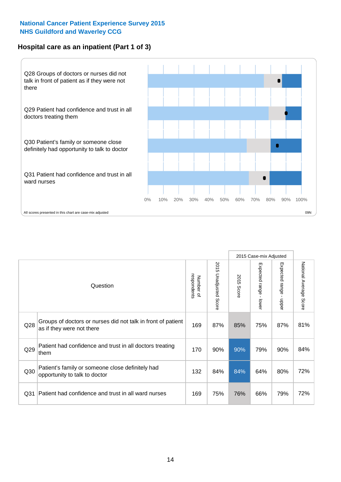#### **Hospital care as an inpatient (Part 1 of 3)**



All scores presented in this chart are case-mix adjusted (99N) and the extent of the second scores presented in this chart are case-mix adjusted (99N) and  $\epsilon$ 

|                 |                                                                                           |                          |                                 |               | 2015 Case-mix Adjusted                    |                                           |                        |
|-----------------|-------------------------------------------------------------------------------------------|--------------------------|---------------------------------|---------------|-------------------------------------------|-------------------------------------------|------------------------|
|                 | Question                                                                                  | respondents<br>Number of | 2015<br><b>Unadjusted Score</b> | 2015<br>Score | Expected range<br>$\blacksquare$<br>lower | Expected range<br>$\blacksquare$<br>nbber | National Average Score |
| Q <sub>28</sub> | Groups of doctors or nurses did not talk in front of patient<br>as if they were not there | 169                      | 87%                             | 85%           | 75%                                       | 87%                                       | 81%                    |
| Q29             | Patient had confidence and trust in all doctors treating<br>them                          | 170                      | 90%                             | 90%           | 79%                                       | 90%                                       | 84%                    |
| Q30             | Patient's family or someone close definitely had<br>opportunity to talk to doctor         | 132                      | 84%                             | 84%           | 64%                                       | 80%                                       | 72%                    |
| Q <sub>31</sub> | Patient had confidence and trust in all ward nurses                                       | 169                      | 75%                             | 76%           | 66%                                       | 79%                                       | 72%                    |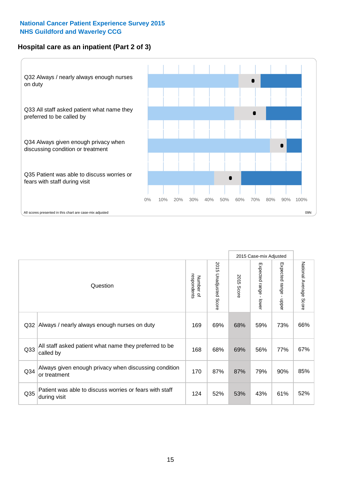#### **Hospital care as an inpatient (Part 2 of 3)**



|                 |                                                                         |                          |                       |            | 2015 Case-mix Adjusted    |                                         |                           |
|-----------------|-------------------------------------------------------------------------|--------------------------|-----------------------|------------|---------------------------|-----------------------------------------|---------------------------|
|                 | Question                                                                | respondents<br>Number of | 2015 Unadjusted Score | 2015 Score | Expected range<br>- lower | Expected range<br>$\mathbf{I}$<br>nbber | National Average<br>Score |
| Q32             | Always / nearly always enough nurses on duty                            | 169                      | 69%                   | 68%        | 59%                       | 73%                                     | 66%                       |
| Q <sub>33</sub> | All staff asked patient what name they preferred to be<br>called by     | 168                      | 68%                   | 69%        | 56%                       | 77%                                     | 67%                       |
| Q34             | Always given enough privacy when discussing condition<br>or treatment   | 170                      | 87%                   | 87%        | 79%                       | 90%                                     | 85%                       |
| Q35             | Patient was able to discuss worries or fears with staff<br>during visit | 124                      | 52%                   | 53%        | 43%                       | 61%                                     | 52%                       |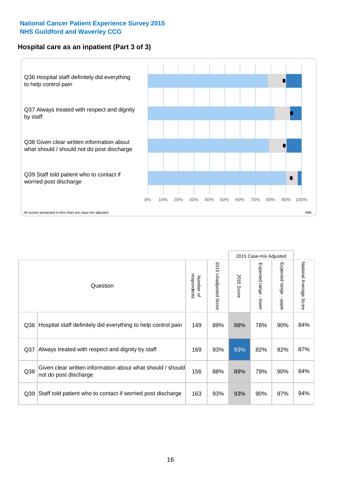#### **Hospital care as an inpatient (Part 3 of 3)**



|                 |                                                                                     |                          |                             |               | 2015 Case-mix Adjusted  |                           |                        |
|-----------------|-------------------------------------------------------------------------------------|--------------------------|-----------------------------|---------------|-------------------------|---------------------------|------------------------|
|                 | Question                                                                            | respondents<br>Number of | 2015<br>Unadjusted<br>Score | 2015<br>Score | Expected range<br>lower | Expected range<br>- nbber | National Average Score |
| Q36             | Hospital staff definitely did everything to help control pain                       | 149                      | 89%                         | 88%           | 78%                     | 90%                       | 84%                    |
| Q <sub>37</sub> | Always treated with respect and dignity by staff                                    | 169                      | 93%                         | 93%           | 82%                     | 92%                       | 87%                    |
| Q38             | Given clear written information about what should / should<br>not do post discharge | 156                      | 88%                         | 89%           | 79%                     | 90%                       | 84%                    |
| Q39             | Staff told patient who to contact if worried post discharge                         | 163                      | 93%                         | 93%           | 90%                     | 97%                       | 94%                    |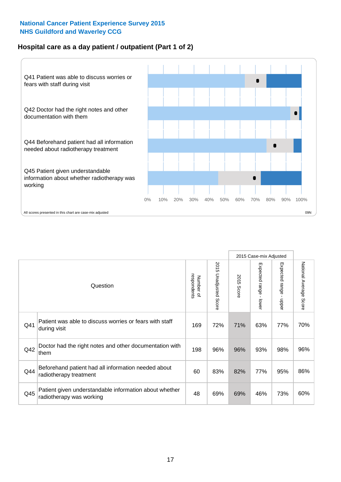#### **Hospital care as a day patient / outpatient (Part 1 of 2)**



|     |                                                                                    |                          |                                 |               | 2015 Case-mix Adjusted                  |                                           |                        |
|-----|------------------------------------------------------------------------------------|--------------------------|---------------------------------|---------------|-----------------------------------------|-------------------------------------------|------------------------|
|     | Question                                                                           | respondents<br>Number of | 2015<br><b>Unadjusted Score</b> | 2015<br>Score | Expected range<br>$\mathbf{r}$<br>lower | Expected range<br>$\blacksquare$<br>nbber | National Average Score |
| Q41 | Patient was able to discuss worries or fears with staff<br>during visit            | 169                      | 72%                             | 71%           | 63%                                     | 77%                                       | 70%                    |
| Q42 | Doctor had the right notes and other documentation with<br>them                    | 198                      | 96%                             | 96%           | 93%                                     | 98%                                       | 96%                    |
| Q44 | Beforehand patient had all information needed about<br>radiotherapy treatment      | 60                       | 83%                             | 82%           | 77%                                     | 95%                                       | 86%                    |
| Q45 | Patient given understandable information about whether<br>radiotherapy was working | 48                       | 69%                             | 69%           | 46%                                     | 73%                                       | 60%                    |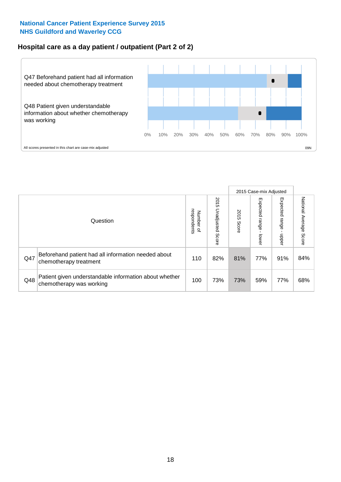#### **Hospital care as a day patient / outpatient (Part 2 of 2)**



|     |                                                                                    |                                         |                             | 2015 Case-mix Adjusted |                              |                            |                           |
|-----|------------------------------------------------------------------------------------|-----------------------------------------|-----------------------------|------------------------|------------------------------|----------------------------|---------------------------|
|     | Question                                                                           | respondents<br>Number<br>$\overline{a}$ | 2015<br>Unadjusted<br>Score | 2015<br>Score          | Expected<br>I range<br>lower | Expected<br>range<br>doper | National Average<br>Score |
| Q47 | Beforehand patient had all information needed about<br>chemotherapy treatment      | 110                                     | 82%                         | 81%                    | 77%                          | 91%                        | 84%                       |
| Q48 | Patient given understandable information about whether<br>chemotherapy was working | 100                                     | 73%                         | 73%                    | 59%                          | 77%                        | 68%                       |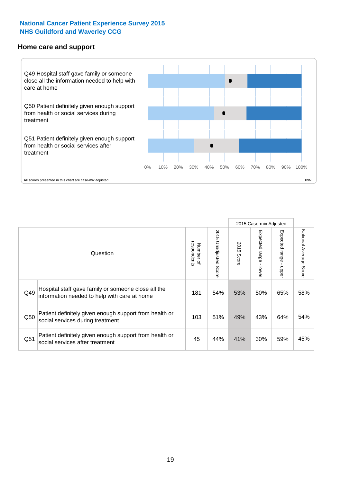#### **Home care and support**



All scores presented in this chart are case-mix adjusted

|                 |                                                                                                     |                          |                       | 2015 Case-mix Adjusted |                         |                         |                           |
|-----------------|-----------------------------------------------------------------------------------------------------|--------------------------|-----------------------|------------------------|-------------------------|-------------------------|---------------------------|
|                 | Question                                                                                            | respondents<br>Number of | 2015 Unadjusted Score | 2015<br>Score          | Expected range<br>lower | Expected range<br>nbber | National Average<br>Score |
| Q49             | Hospital staff gave family or someone close all the<br>information needed to help with care at home | 181                      | 54%                   | 53%                    | 50%                     | 65%                     | 58%                       |
| Q50             | Patient definitely given enough support from health or<br>social services during treatment          | 103                      | 51%                   | 49%                    | 43%                     | 64%                     | 54%                       |
| Q <sub>51</sub> | Patient definitely given enough support from health or<br>social services after treatment           | 45                       | 44%                   | 41%                    | 30%                     | 59%                     | 45%                       |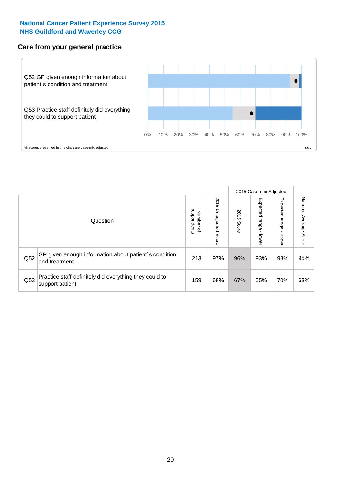#### **Care from your general practice**



|     |                                                                           |                                       |                             | 2015 Case-mix Adjusted |                                   |                         |                           |
|-----|---------------------------------------------------------------------------|---------------------------------------|-----------------------------|------------------------|-----------------------------------|-------------------------|---------------------------|
|     | Question                                                                  | respondents<br>Number<br>$\mathbf{Q}$ | 2015<br>Unadjusted<br>Score | 2015<br>Score          | Expected<br><b>range</b><br>lower | Expected range<br>nbber | National Average<br>Score |
| Q52 | GP given enough information about patient's condition<br>and treatment    | 213                                   | 97%                         | 96%                    | 93%                               | 98%                     | 95%                       |
| Q53 | Practice staff definitely did everything they could to<br>support patient | 159                                   | 68%                         | 67%                    | 55%                               | 70%                     | 63%                       |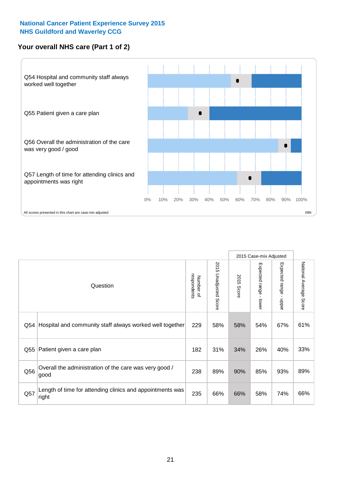#### **Your overall NHS care (Part 1 of 2)**



|     |                                                                    |                          |                          | 2015 Case-mix Adjusted |                                           |                                           |                        |
|-----|--------------------------------------------------------------------|--------------------------|--------------------------|------------------------|-------------------------------------------|-------------------------------------------|------------------------|
|     | Question                                                           | respondents<br>Number of | 2015<br>Unadjusted Score | 2015<br><b>Score</b>   | Expected range<br>$\blacksquare$<br>lower | Expected range<br>$\blacksquare$<br>nbber | National Average Score |
| Q54 | Hospital and community staff always worked well together           | 229                      | 58%                      | 58%                    | 54%                                       | 67%                                       | 61%                    |
| Q55 | Patient given a care plan                                          | 182                      | 31%                      | 34%                    | 26%                                       | 40%                                       | 33%                    |
| Q56 | Overall the administration of the care was very good /<br>good     | 238                      | 89%                      | 90%                    | 85%                                       | 93%                                       | 89%                    |
| Q57 | Length of time for attending clinics and appointments was<br>right | 235                      | 66%                      | 66%                    | 58%                                       | 74%                                       | 66%                    |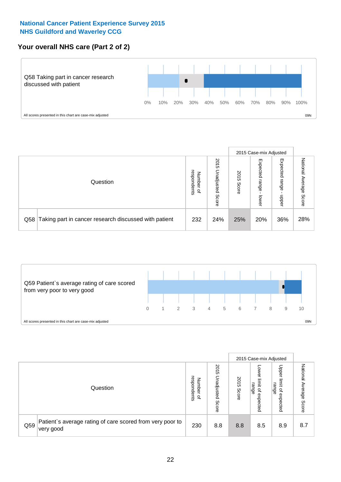#### **Your overall NHS care (Part 2 of 2)**



|     |                                                       |                                   |                             |               |                            | 2015 Case-mix Adjusted     |                        |
|-----|-------------------------------------------------------|-----------------------------------|-----------------------------|---------------|----------------------------|----------------------------|------------------------|
|     | Question                                              | respondents<br>Number<br>$\Omega$ | 2015<br>Unadjusted<br>Score | 2015<br>Score | Expected<br>range<br>lower | Expected<br>range<br>nbber | National Average Score |
| Q58 | Taking part in cancer research discussed with patient | 232                               | 24%                         | 25%           | 20%                        | 36%                        | 28%                    |



|     |                                                                        |                                              |                             |               |                                                           | 2015 Case-mix Adjusted                   |                              |
|-----|------------------------------------------------------------------------|----------------------------------------------|-----------------------------|---------------|-----------------------------------------------------------|------------------------------------------|------------------------------|
|     | Question                                                               | respondents<br>Number<br>$\overline{\sigma}$ | 2015<br>Jnadjusted<br>Score | 2015<br>Score | OWer<br>limit<br>range<br>$\overline{\sigma}$<br>expected | Upper<br>limit<br>range<br>õ<br>expected | National<br>Average<br>Score |
| Q59 | Patient's average rating of care scored from very poor to<br>very good | 230                                          | 8.8                         | 8.8           | 8.5                                                       | 8.9                                      | 8.7                          |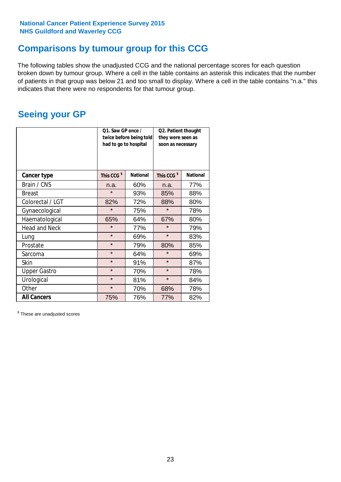### **Comparisons by tumour group for this CCG**

The following tables show the unadjusted CCG and the national percentage scores for each question broken down by tumour group. Where a cell in the table contains an asterisk this indicates that the number of patients in that group was below 21 and too small to display. Where a cell in the table contains "n.a." this indicates that there were no respondents for that tumour group.

### **Seeing your GP**

|                      | Q1. Saw GP once /<br>had to go to hospital | twice before being told | Q2. Patient thought<br>they were seen as<br>soon as necessary |                 |  |
|----------------------|--------------------------------------------|-------------------------|---------------------------------------------------------------|-----------------|--|
| <b>Cancer type</b>   | This CCG <sup>\$</sup>                     | <b>National</b>         | This CCG <sup>\$</sup>                                        | <b>National</b> |  |
| Brain / CNS          | n.a.                                       | 60%                     | n.a.                                                          | 77%             |  |
| <b>Breast</b>        | $\star$                                    | 93%                     | 85%                                                           | 88%             |  |
| Colorectal / LGT     | 82%                                        | 72%                     | 88%                                                           | 80%             |  |
| Gynaecological       | $\star$                                    | 75%                     | $\star$                                                       | 78%             |  |
| Haematological       | 65%                                        | 64%                     | 67%                                                           | 80%             |  |
| <b>Head and Neck</b> | $\star$                                    | 77%                     | $\star$                                                       | 79%             |  |
| Lung                 | $\star$                                    | 69%                     | $\star$                                                       | 83%             |  |
| Prostate             | $\star$                                    | 79%                     | 80%                                                           | 85%             |  |
| Sarcoma              | $\star$                                    | 64%                     | $\star$                                                       | 69%             |  |
| <b>Skin</b>          | $\star$                                    | 91%                     | $\star$                                                       | 87%             |  |
| <b>Upper Gastro</b>  | $\star$                                    | 70%                     | $\star$                                                       | 78%             |  |
| Urological           | $\star$                                    | 81%                     | $\star$                                                       | 84%             |  |
| Other                | $\star$                                    | 70%                     | 68%                                                           | 78%             |  |
| <b>All Cancers</b>   | 75%                                        | 76%                     | 77%                                                           | 82%             |  |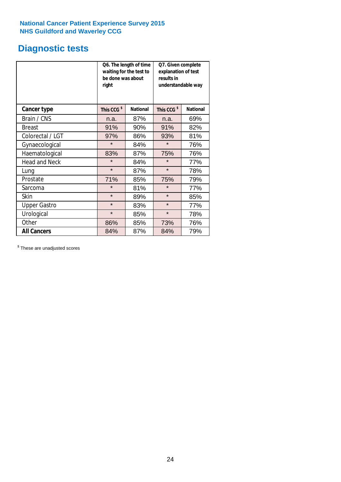# **Diagnostic tests**

|                      | be done was about<br>right | Q6. The length of time<br>waiting for the test to | Q7. Given complete<br>explanation of test<br>results in<br>understandable way |                 |  |
|----------------------|----------------------------|---------------------------------------------------|-------------------------------------------------------------------------------|-----------------|--|
| <b>Cancer type</b>   | This CCG <sup>\$</sup>     | <b>National</b>                                   | This CCG <sup>\$</sup>                                                        | <b>National</b> |  |
| Brain / CNS          | n.a.                       | 87%                                               | n.a.                                                                          | 69%             |  |
| <b>Breast</b>        | 91%                        | 90%                                               | 91%                                                                           | 82%             |  |
| Colorectal / LGT     | 97%                        | 86%                                               | 93%                                                                           | 81%             |  |
| Gynaecological       | $\star$                    | 84%                                               | $\star$                                                                       | 76%             |  |
| Haematological       | 83%                        | 87%                                               | 75%                                                                           | 76%             |  |
| <b>Head and Neck</b> | $\star$                    | 84%                                               | $\star$                                                                       | 77%             |  |
| Lung                 | $\star$                    | 87%                                               | $\star$                                                                       | 78%             |  |
| Prostate             | 71%                        | 85%                                               | 75%                                                                           | 79%             |  |
| Sarcoma              | $\star$                    | 81%                                               | $\star$                                                                       | 77%             |  |
| Skin                 | $\star$                    | 89%                                               | $\star$                                                                       | 85%             |  |
| <b>Upper Gastro</b>  | $\star$                    | 83%                                               | $\star$                                                                       | 77%             |  |
| Urological           | $\star$                    | 85%                                               | $\star$                                                                       | 78%             |  |
| Other                | 86%                        | 85%                                               | 73%                                                                           | 76%             |  |
| <b>All Cancers</b>   | 84%                        | 87%                                               | 84%                                                                           | 79%             |  |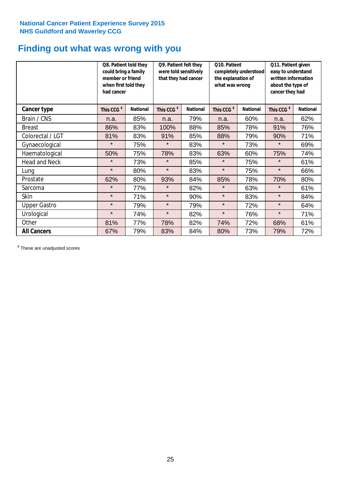### **Finding out what was wrong with you**

|                      | Q8. Patient told they<br>could bring a family<br>member or friend<br>when first told they<br>had cancer |                 | Q9. Patient felt they<br>were told sensitively<br>that they had cancer |                 | Q10. Patient<br>completely understood<br>the explanation of<br>what was wrong |                 | Q11. Patient given<br>easy to understand<br>written information<br>about the type of<br>cancer they had |                 |
|----------------------|---------------------------------------------------------------------------------------------------------|-----------------|------------------------------------------------------------------------|-----------------|-------------------------------------------------------------------------------|-----------------|---------------------------------------------------------------------------------------------------------|-----------------|
| Cancer type          | This CCG <sup>\$</sup>                                                                                  | <b>National</b> | This CCG <sup>\$</sup>                                                 | <b>National</b> | This CCG <sup>\$</sup>                                                        | <b>National</b> | This CCG <sup>\$</sup>                                                                                  | <b>National</b> |
| Brain / CNS          | n.a.                                                                                                    | 85%             | n.a.                                                                   | 79%             | n.a.                                                                          | 60%             | n.a.                                                                                                    | 62%             |
| <b>Breast</b>        | 86%                                                                                                     | 83%             | 100%                                                                   | 88%             | 85%                                                                           | 78%             | 91%                                                                                                     | 76%             |
| Colorectal / LGT     | 81%                                                                                                     | 83%             | 91%                                                                    | 85%             | 88%                                                                           | 79%             | 90%                                                                                                     | 71%             |
| Gynaecological       | $\star$                                                                                                 | 75%             | $\star$                                                                | 83%             | $\star$                                                                       | 73%             | $\star$                                                                                                 | 69%             |
| Haematological       | 50%                                                                                                     | 75%             | 78%                                                                    | 83%             | 63%                                                                           | 60%             | 75%                                                                                                     | 74%             |
| <b>Head and Neck</b> | $\star$                                                                                                 | 73%             | $\star$                                                                | 85%             | $\star$                                                                       | 75%             | $\star$                                                                                                 | 61%             |
| Lung                 | $\star$                                                                                                 | 80%             | $\star$                                                                | 83%             | $\star$                                                                       | 75%             | $\star$                                                                                                 | 66%             |
| Prostate             | 62%                                                                                                     | 80%             | 93%                                                                    | 84%             | 85%                                                                           | 78%             | 70%                                                                                                     | 80%             |
| Sarcoma              | $\star$                                                                                                 | 77%             | $\star$                                                                | 82%             | $\star$                                                                       | 63%             | $\star$                                                                                                 | 61%             |
| Skin                 | $\star$                                                                                                 | 71%             | $\star$                                                                | 90%             | $\star$                                                                       | 83%             | $\star$                                                                                                 | 84%             |
| <b>Upper Gastro</b>  | $\star$                                                                                                 | 79%             | $\star$                                                                | 79%             | $\star$                                                                       | 72%             | $\star$                                                                                                 | 64%             |
| Urological           | $\star$                                                                                                 | 74%             | $\star$                                                                | 82%             | $\star$                                                                       | 76%             | $\star$                                                                                                 | 71%             |
| Other                | 81%                                                                                                     | 77%             | 78%                                                                    | 82%             | 74%                                                                           | 72%             | 68%                                                                                                     | 61%             |
| <b>All Cancers</b>   | 67%                                                                                                     | 79%             | 83%                                                                    | 84%             | 80%                                                                           | 73%             | 79%                                                                                                     | 72%             |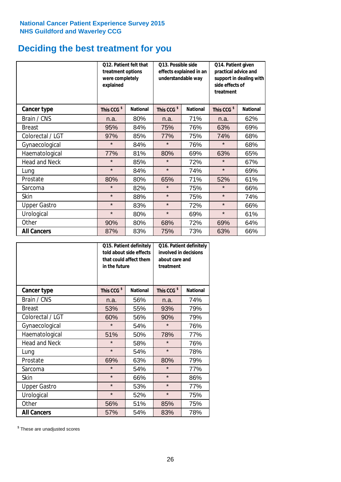### **Deciding the best treatment for you**

|                      | 012. Patient felt that<br>treatment options<br>were completely<br>explained |                 | 013. Possible side<br>understandable way | effects explained in an | Q14. Patient given<br>practical advice and<br>support in dealing with<br>side effects of<br>treatment |                 |  |
|----------------------|-----------------------------------------------------------------------------|-----------------|------------------------------------------|-------------------------|-------------------------------------------------------------------------------------------------------|-----------------|--|
| <b>Cancer type</b>   | This CCG <sup>\$</sup>                                                      | <b>National</b> | This CCG <sup>\$</sup>                   | <b>National</b>         | This CCG <sup>\$</sup>                                                                                | <b>National</b> |  |
| Brain / CNS          | n.a.                                                                        | 80%             | n.a.                                     | 71%                     | n.a.                                                                                                  | 62%             |  |
| <b>Breast</b>        | 95%                                                                         | 84%             | 75%                                      | 76%                     | 63%                                                                                                   | 69%             |  |
| Colorectal / LGT     | 97%                                                                         | 85%             | 77%                                      | 75%                     | 74%                                                                                                   | 68%             |  |
| Gynaecological       | $\star$                                                                     | 84%             | $\star$                                  | 76%                     | $\star$                                                                                               | 68%             |  |
| Haematological       | 77%                                                                         | 81%             | 80%                                      | 69%                     | 63%                                                                                                   | 65%             |  |
| <b>Head and Neck</b> | $\star$                                                                     | 85%             | $\star$                                  | 72%                     | $\star$                                                                                               | 67%             |  |
| Lung                 | $\star$                                                                     | 84%             | $\star$                                  | 74%                     | $\star$                                                                                               | 69%             |  |
| Prostate             | 80%                                                                         | 80%             | 65%                                      | 71%                     | 52%                                                                                                   | 61%             |  |
| Sarcoma              | $\star$                                                                     | 82%             | $\star$                                  | 75%                     | $\star$                                                                                               | 66%             |  |
| Skin                 | $\star$                                                                     | 88%             | $\star$                                  | 75%                     | $\star$                                                                                               | 74%             |  |
| <b>Upper Gastro</b>  | $\star$                                                                     | 83%             | $\star$                                  | 72%                     | $\star$                                                                                               | 66%             |  |
| Urological           | $\star$                                                                     | 80%             | $\star$                                  | 69%                     | $\star$                                                                                               | 61%             |  |
| Other                | 90%                                                                         | 80%             | 68%                                      | 72%                     | 69%                                                                                                   | 64%             |  |
| <b>All Cancers</b>   | 87%                                                                         | 83%             | 75%                                      | 73%                     | 63%                                                                                                   | 66%             |  |

|                      | in the future          | Q15. Patient definitely<br>told about side effects<br>that could affect them | Q16. Patient definitely<br>involved in decisions<br>about care and<br>treatment |                 |  |
|----------------------|------------------------|------------------------------------------------------------------------------|---------------------------------------------------------------------------------|-----------------|--|
| <b>Cancer type</b>   | This CCG <sup>\$</sup> | <b>National</b>                                                              | This CCG <sup>\$</sup>                                                          | <b>National</b> |  |
| Brain / CNS          | n.a.                   | 56%                                                                          | n.a.                                                                            | 74%             |  |
| <b>Breast</b>        | 53%                    | 55%                                                                          | 93%                                                                             | 79%             |  |
| Colorectal / LGT     | 60%                    | 56%                                                                          | 90%                                                                             | 79%             |  |
| Gynaecological       | $\star$<br>54%         |                                                                              | $\star$                                                                         | 76%             |  |
| Haematological       | 51%<br>50%             |                                                                              | 78%                                                                             | 77%             |  |
| <b>Head and Neck</b> | $\star$                | 58%                                                                          | $\star$                                                                         | 76%             |  |
| Lung                 | $\star$                | 54%                                                                          | $\star$                                                                         | 78%             |  |
| Prostate             | 69%                    | 63%                                                                          | 80%                                                                             | 79%             |  |
| Sarcoma              | $\star$                | 54%                                                                          | $\star$                                                                         | 77%             |  |
| Skin                 | $\star$                | 66%                                                                          | $\star$                                                                         | 86%             |  |
| <b>Upper Gastro</b>  | $\star$                | 53%                                                                          | $\star$                                                                         | 77%             |  |
| Urological           | $\star$                | 52%                                                                          | $\star$                                                                         | 75%             |  |
| Other                | 56%                    | 51%                                                                          | 85%                                                                             | 75%             |  |
| <b>All Cancers</b>   | 57%                    | 54%                                                                          | 83%                                                                             | 78%             |  |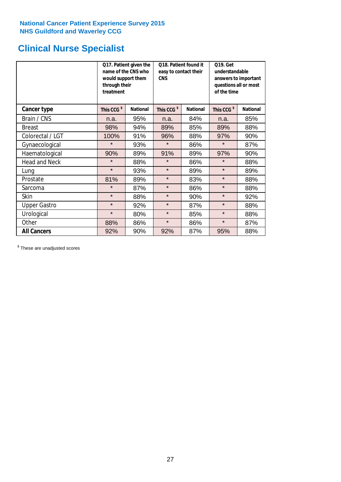# **Clinical Nurse Specialist**

|                     | would support them<br>through their<br>treatment | Q17. Patient given the<br>name of the CNS who | Q18. Patient found it<br>easy to contact their<br><b>CNS</b> |     | <b>Q19. Get</b><br>understandable<br>answers to important<br>questions all or most<br>of the time |                 |
|---------------------|--------------------------------------------------|-----------------------------------------------|--------------------------------------------------------------|-----|---------------------------------------------------------------------------------------------------|-----------------|
| <b>Cancer type</b>  | This CCG <sup>\$</sup>                           | <b>National</b>                               | This CCG <sup>\$</sup><br><b>National</b>                    |     | This CCG <sup>\$</sup>                                                                            | <b>National</b> |
| Brain / CNS         | n.a.                                             | 95%                                           | n.a.                                                         | 84% | n.a.                                                                                              | 85%             |
| <b>Breast</b>       | 98%                                              | 94%                                           | 89%                                                          | 85% | 89%                                                                                               | 88%             |
| Colorectal / LGT    | 100%                                             | 91%                                           | 96%                                                          | 88% | 97%                                                                                               | 90%             |
| Gynaecological      | $\star$                                          | 93%                                           | $\star$<br>86%                                               |     | $\star$                                                                                           | 87%             |
| Haematological      | 90%                                              | 89%                                           | 91%                                                          | 89% | 97%                                                                                               | 90%             |
| Head and Neck       | $\star$                                          | 88%                                           | $\star$                                                      | 86% | $\star$                                                                                           | 88%             |
| Lung                | $\star$                                          | 93%                                           | $\star$                                                      | 89% | $\star$                                                                                           | 89%             |
| Prostate            | 81%                                              | 89%                                           | $\star$                                                      | 83% | $\star$                                                                                           | 88%             |
| Sarcoma             | $\star$                                          | 87%                                           | $\star$                                                      | 86% | $\star$                                                                                           | 88%             |
| Skin                | $\star$                                          | 88%                                           | $\star$                                                      | 90% | $\star$                                                                                           | 92%             |
| <b>Upper Gastro</b> | $\star$                                          | 92%                                           | $\star$                                                      | 87% | $\star$                                                                                           | 88%             |
| Urological          | $\star$                                          | 80%                                           | $\star$                                                      | 85% | $\star$                                                                                           | 88%             |
| Other               | 88%                                              | 86%                                           | $\star$                                                      | 86% | $\star$                                                                                           | 87%             |
| <b>All Cancers</b>  | 92%                                              | 90%                                           | 92%                                                          | 87% | 95%                                                                                               | 88%             |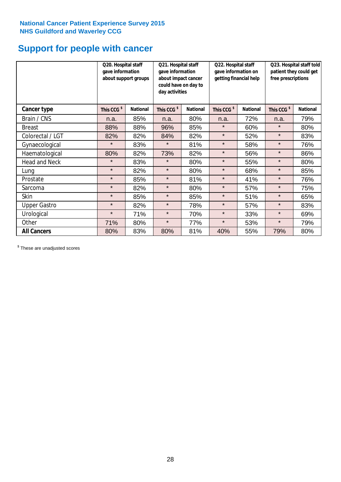# **Support for people with cancer**

|                      | Q20. Hospital staff<br>gave information<br>about support groups |                 | Q21. Hospital staff<br>gave information<br>about impact cancer<br>could have on day to<br>day activities |                 | Q22. Hospital staff<br>gave information on<br>getting financial help |                 | Q23. Hospital staff told<br>patient they could get<br>free prescriptions |                 |
|----------------------|-----------------------------------------------------------------|-----------------|----------------------------------------------------------------------------------------------------------|-----------------|----------------------------------------------------------------------|-----------------|--------------------------------------------------------------------------|-----------------|
| <b>Cancer type</b>   | This CCG <sup>\$</sup>                                          | <b>National</b> | This CCG <sup>\$</sup>                                                                                   | <b>National</b> | This CCG <sup>\$</sup>                                               | <b>National</b> | This CCG <sup>\$</sup>                                                   | <b>National</b> |
| Brain / CNS          | n.a.                                                            | 85%             | n.a.                                                                                                     | 80%             | n.a.                                                                 | 72%             | n.a.                                                                     | 79%             |
| <b>Breast</b>        | 88%                                                             | 88%             | 96%                                                                                                      | 85%             | $\star$                                                              | 60%             | $\star$                                                                  | 80%             |
| Colorectal / LGT     | 82%                                                             | 82%             | 84%                                                                                                      | 82%             | $\star$                                                              | 52%             | $\star$                                                                  | 83%             |
| Gynaecological       | $\star$                                                         | 83%             | $\star$                                                                                                  | 81%             | $\star$                                                              | 58%             | $\star$                                                                  | 76%             |
| Haematological       | 80%                                                             | 82%             | 73%                                                                                                      | 82%             | $\star$                                                              | 56%             | $\star$                                                                  | 86%             |
| <b>Head and Neck</b> | $\star$                                                         | 83%             | $\star$                                                                                                  | 80%             | $\star$                                                              | 55%             | $\star$                                                                  | 80%             |
| Lung                 | $\star$                                                         | 82%             | $\star$                                                                                                  | 80%             | $\star$                                                              | 68%             | $\star$                                                                  | 85%             |
| Prostate             | $\star$                                                         | 85%             | $\star$                                                                                                  | 81%             | $\star$                                                              | 41%             | $\star$                                                                  | 76%             |
| Sarcoma              | $\star$                                                         | 82%             | $\star$                                                                                                  | 80%             | $\star$                                                              | 57%             | $\star$                                                                  | 75%             |
| Skin                 | $\star$                                                         | 85%             | $\star$                                                                                                  | 85%             | $\star$                                                              | 51%             | $\star$                                                                  | 65%             |
| <b>Upper Gastro</b>  | $\star$                                                         | 82%             | $\star$                                                                                                  | 78%             | $\star$                                                              | 57%             | $\star$                                                                  | 83%             |
| Urological           | $\star$                                                         | 71%             | $\star$                                                                                                  | 70%             | $\star$                                                              | 33%             | $\star$                                                                  | 69%             |
| Other                | 71%                                                             | 80%             | $\star$                                                                                                  | 77%             | $\star$                                                              | 53%             | $\star$                                                                  | 79%             |
| <b>All Cancers</b>   | 80%                                                             | 83%             | 80%                                                                                                      | 81%             | 40%                                                                  | 55%             | 79%                                                                      | 80%             |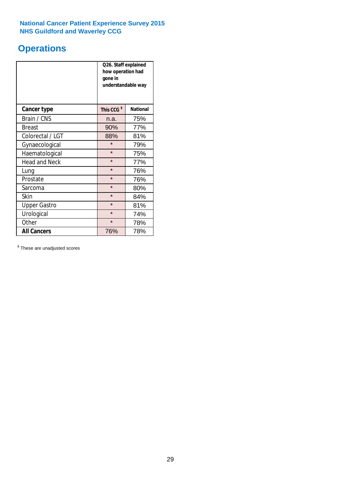# **Operations**

|                      | Q26. Staff explained<br>how operation had<br>gone in<br>understandable way |                 |  |  |  |
|----------------------|----------------------------------------------------------------------------|-----------------|--|--|--|
| <b>Cancer type</b>   | This CCG <sup>\$</sup>                                                     | <b>National</b> |  |  |  |
| Brain / CNS          | n.a.                                                                       | 75%             |  |  |  |
| <b>Breast</b>        | 90%                                                                        | 77%             |  |  |  |
| Colorectal / LGT     | 88%                                                                        | 81%             |  |  |  |
| Gynaecological       | $\star$<br>79%                                                             |                 |  |  |  |
| Haematological       | $\star$<br>75%                                                             |                 |  |  |  |
| <b>Head and Neck</b> | $\star$                                                                    | 77%             |  |  |  |
| Lung                 | $\star$                                                                    | 76%             |  |  |  |
| Prostate             | $\star$                                                                    | 76%             |  |  |  |
| Sarcoma              | $\star$                                                                    | 80%             |  |  |  |
| Skin                 | $\star$                                                                    | 84%             |  |  |  |
| <b>Upper Gastro</b>  | $\star$                                                                    | 81%             |  |  |  |
| Urological           | $\star$                                                                    | 74%             |  |  |  |
| Other                | $\star$<br>78%                                                             |                 |  |  |  |
| <b>All Cancers</b>   | 78%<br>76%                                                                 |                 |  |  |  |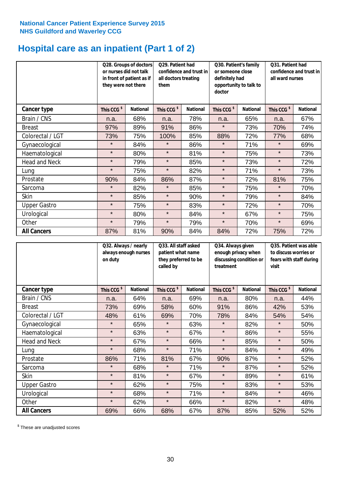# **Hospital care as an inpatient (Part 1 of 2)**

|                      | or nurses did not talk<br>they were not there | Q28. Groups of doctors<br>in front of patient as if | Q29. Patient had<br>confidence and trust in<br>all doctors treating<br>them |                 | Q30. Patient's family<br>or someone close<br>definitely had<br>opportunity to talk to<br>doctor |                 | Q31. Patient had<br>confidence and trust in I<br>all ward nurses |                 |
|----------------------|-----------------------------------------------|-----------------------------------------------------|-----------------------------------------------------------------------------|-----------------|-------------------------------------------------------------------------------------------------|-----------------|------------------------------------------------------------------|-----------------|
| Cancer type          | This CCG <sup>\$</sup>                        | <b>National</b>                                     | This CCG <sup>\$</sup>                                                      | <b>National</b> | This CCG <sup>\$</sup>                                                                          | <b>National</b> | This CCG <sup>\$</sup>                                           | <b>National</b> |
| Brain / CNS          | n.a.                                          | 68%                                                 | n.a.                                                                        | 78%             | n.a.                                                                                            | 65%             | n.a.                                                             | 67%             |
| <b>Breast</b>        | 97%                                           | 89%                                                 | 91%                                                                         | 86%             | $\star$                                                                                         | 73%             | 70%                                                              | 74%             |
| Colorectal / LGT     | 73%                                           | 75%                                                 | 100%                                                                        | 85%             | 88%                                                                                             | 72%             | 77%                                                              | 68%             |
| Gynaecological       | $\star$                                       | 84%                                                 | $\star$                                                                     | 86%             | $\star$                                                                                         | 71%             | $\star$                                                          | 69%             |
| Haematological       | $\star$                                       | 80%                                                 | $\star$                                                                     | 81%             | $\star$                                                                                         | 75%             | $\star$                                                          | 73%             |
| <b>Head and Neck</b> | $\star$                                       | 79%                                                 | $\star$                                                                     | 85%             | $\star$                                                                                         | 73%             | $\star$                                                          | 72%             |
| Lung                 | $\star$                                       | 75%                                                 | $\star$                                                                     | 82%             | $\star$                                                                                         | 71%             | $\star$                                                          | 73%             |
| Prostate             | 90%                                           | 84%                                                 | 86%                                                                         | 87%             | $\star$                                                                                         | 72%             | 81%                                                              | 75%             |
| Sarcoma              | $\star$                                       | 82%                                                 | $\star$                                                                     | 85%             | $\star$                                                                                         | 75%             | $\star$                                                          | 70%             |
| Skin                 | $\star$                                       | 85%                                                 | $\star$                                                                     | 90%             | $\star$                                                                                         | 79%             | $\star$                                                          | 84%             |
| <b>Upper Gastro</b>  | $\star$                                       | 75%                                                 | $\star$                                                                     | 83%             | $\star$                                                                                         | 72%             | $\star$                                                          | 70%             |
| Urological           | $\star$                                       | 80%                                                 | $\star$                                                                     | 84%             | $\star$                                                                                         | 67%             | $\star$                                                          | 75%             |
| Other                | $\star$                                       | 79%                                                 | $\star$                                                                     | 79%             | $\star$                                                                                         | 70%             | $\star$                                                          | 69%             |
| <b>All Cancers</b>   | 87%                                           | 81%                                                 | 90%                                                                         | 84%             | 84%                                                                                             | 72%             | 75%                                                              | 72%             |

|                      | Q32. Always / nearly<br>always enough nurses<br>on duty |                 | Q33. All staff asked<br>patient what name<br>they preferred to be<br>called by |                 | Q34. Always given<br>enough privacy when<br>discussing condition or<br>treatment |                 | Q35. Patient was able<br>to discuss worries or<br>fears with staff during<br>visit |                 |
|----------------------|---------------------------------------------------------|-----------------|--------------------------------------------------------------------------------|-----------------|----------------------------------------------------------------------------------|-----------------|------------------------------------------------------------------------------------|-----------------|
| <b>Cancer type</b>   | This CCG <sup>\$</sup>                                  | <b>National</b> | This CCG <sup>\$</sup>                                                         | <b>National</b> | This CCG <sup>\$</sup>                                                           | <b>National</b> | This CCG <sup>\$</sup>                                                             | <b>National</b> |
| Brain / CNS          | n.a.                                                    | 64%             | n.a.                                                                           | 69%             | n.a.                                                                             | 80%             | n.a.                                                                               | 44%             |
| <b>Breast</b>        | 73%                                                     | 69%             | 58%                                                                            | 60%             | 91%                                                                              | 86%             | 42%                                                                                | 53%             |
| Colorectal / LGT     | 48%                                                     | 61%             | 69%                                                                            | 70%             | 78%                                                                              | 84%             | 54%                                                                                | 54%             |
| Gynaecological       | $\star$                                                 | 65%             | $\star$                                                                        | 63%             | $\star$                                                                          | 82%             | $\star$                                                                            | 50%             |
| Haematological       | $\star$                                                 | 63%             | $\star$                                                                        | 67%             | $\star$                                                                          | 86%             | $\star$                                                                            | 55%             |
| <b>Head and Neck</b> | $\star$                                                 | 67%             | $\star$                                                                        | 66%             | $\star$                                                                          | 85%             | $\star$                                                                            | 50%             |
| Lung                 | $\star$                                                 | 68%             | $\star$                                                                        | 71%             | $\star$                                                                          | 84%             | $\star$                                                                            | 49%             |
| Prostate             | 86%                                                     | 71%             | 81%                                                                            | 67%             | 90%                                                                              | 87%             | $\star$                                                                            | 52%             |
| Sarcoma              | $\star$                                                 | 68%             | $\star$                                                                        | 71%             | $\star$                                                                          | 87%             | $\star$                                                                            | 52%             |
| Skin                 | $\star$                                                 | 81%             | $\star$                                                                        | 67%             | $\star$                                                                          | 89%             | $\star$                                                                            | 61%             |
| <b>Upper Gastro</b>  | $\star$                                                 | 62%             | $\star$                                                                        | 75%             | $\star$                                                                          | 83%             | $\star$                                                                            | 53%             |
| Urological           | $\star$                                                 | 68%             | $\star$                                                                        | 71%             | $\star$                                                                          | 84%             | $\star$                                                                            | 46%             |
| Other                | $\star$                                                 | 62%             | $\star$                                                                        | 66%             | $\star$                                                                          | 82%             | $\star$                                                                            | 48%             |
| <b>All Cancers</b>   | 69%                                                     | 66%             | 68%                                                                            | 67%             | 87%                                                                              | 85%             | 52%                                                                                | 52%             |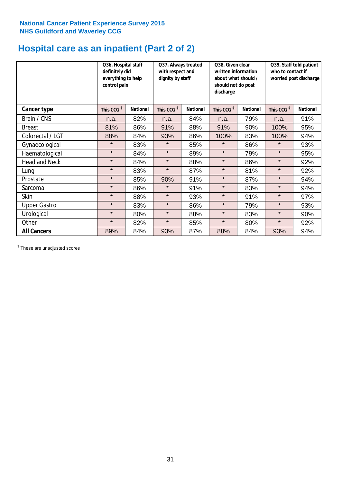# **Hospital care as an inpatient (Part 2 of 2)**

|                      | Q36. Hospital staff<br>definitely did<br>everything to help<br>control pain |                 | Q37. Always treated<br>with respect and<br>dignity by staff |                 | Q38. Given clear<br>written information<br>about what should /<br>should not do post<br>discharge |                 | Q39. Staff told patient<br>who to contact if<br>worried post discharge |                 |  |
|----------------------|-----------------------------------------------------------------------------|-----------------|-------------------------------------------------------------|-----------------|---------------------------------------------------------------------------------------------------|-----------------|------------------------------------------------------------------------|-----------------|--|
| Cancer type          | This CCG <sup>\$</sup>                                                      | <b>National</b> | This CCG <sup>\$</sup>                                      | <b>National</b> | This CCG <sup>\$</sup>                                                                            | <b>National</b> | This CCG <sup>\$</sup>                                                 | <b>National</b> |  |
| Brain / CNS          | n.a.                                                                        | 82%             | n.a.                                                        | 84%             | n.a.                                                                                              | 79%             | n.a.                                                                   | 91%             |  |
| <b>Breast</b>        | 81%                                                                         | 86%             | 91%                                                         | 88%             | 91%                                                                                               | 90%             | 100%                                                                   | 95%             |  |
| Colorectal / LGT     | 88%                                                                         | 84%             | 93%                                                         | 86%             | 100%                                                                                              | 83%             | 100%                                                                   | 94%             |  |
| Gynaecological       | $\star$                                                                     | 83%             | $\star$                                                     | 85%             | $\star$                                                                                           | 86%             | $\star$                                                                | 93%             |  |
| Haematological       | $\star$                                                                     | 84%             | $\star$                                                     | 89%             | $\star$                                                                                           | 79%             | $\star$                                                                | 95%             |  |
| <b>Head and Neck</b> | $\star$                                                                     | 84%             | $\star$                                                     | 88%             | $\star$                                                                                           | 86%             | $\star$                                                                | 92%             |  |
| Lung                 | $\star$                                                                     | 83%             | $\star$                                                     | 87%             | $\star$                                                                                           | 81%             | $\star$                                                                | 92%             |  |
| Prostate             | $\star$                                                                     | 85%             | 90%                                                         | 91%             | $\star$                                                                                           | 87%             | $\star$                                                                | 94%             |  |
| Sarcoma              | $\star$                                                                     | 86%             | $\star$                                                     | 91%             | $\star$                                                                                           | 83%             | $\star$                                                                | 94%             |  |
| Skin                 | $\star$                                                                     | 88%             | $\star$                                                     | 93%             | $\star$                                                                                           | 91%             | $\star$                                                                | 97%             |  |
| <b>Upper Gastro</b>  | $\star$                                                                     | 83%             | $\star$                                                     | 86%             | $\star$                                                                                           | 79%             | $\star$                                                                | 93%             |  |
| Urological           | $\star$                                                                     | 80%             | $\star$                                                     | 88%             | $\star$                                                                                           | 83%             | $\star$                                                                | 90%             |  |
| Other                | $\star$                                                                     | 82%             | $\star$                                                     | 85%             | $\star$                                                                                           | 80%             | $\star$                                                                | 92%             |  |
| <b>All Cancers</b>   | 89%                                                                         | 84%             | 93%                                                         | 87%             | 88%                                                                                               | 84%             | 93%                                                                    | 94%             |  |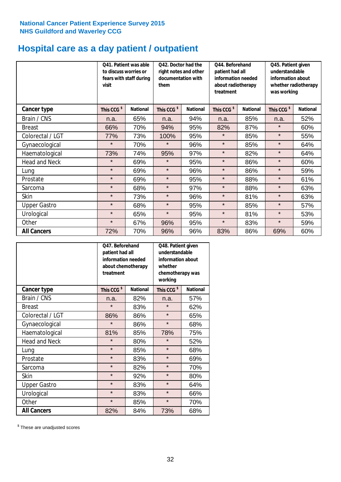# **Hospital care as a day patient / outpatient**

|                      | to discuss worries or<br>visit | Q41. Patient was able<br>fears with staff during | Q42. Doctor had the<br>right notes and other<br>documentation with<br>them |                 | Q44. Beforehand<br>patient had all<br>information needed<br>about radiotherapy<br>treatment |                 | Q45. Patient given<br>understandable<br>information about<br>whether radiotherapy<br>was working |                 |
|----------------------|--------------------------------|--------------------------------------------------|----------------------------------------------------------------------------|-----------------|---------------------------------------------------------------------------------------------|-----------------|--------------------------------------------------------------------------------------------------|-----------------|
| Cancer type          | This CCG <sup>\$</sup>         | <b>National</b>                                  | This CCG <sup>\$</sup>                                                     | <b>National</b> | This CCG <sup>\$</sup>                                                                      | <b>National</b> | This CCG <sup>\$</sup>                                                                           | <b>National</b> |
| Brain / CNS          | n.a.                           | 65%                                              | n.a.                                                                       | 94%             | n.a.                                                                                        | 85%             | n.a.                                                                                             | 52%             |
| <b>Breast</b>        | 66%                            | 70%                                              | 94%                                                                        | 95%             | 82%                                                                                         | 87%             | $\star$                                                                                          | 60%             |
| Colorectal / LGT     | 77%                            | 73%                                              | 100%                                                                       | 95%             | $\star$                                                                                     | 85%             | $\star$                                                                                          | 55%             |
| Gynaecological       | $\star$                        | 70%                                              | $\star$                                                                    | 96%             | $\star$                                                                                     | 85%             | $\star$                                                                                          | 64%             |
| Haematological       | 73%                            | 74%                                              | 95%                                                                        | 97%             | $\star$                                                                                     | 82%             | $\star$                                                                                          | 64%             |
| <b>Head and Neck</b> | $\star$                        | 69%                                              | $\star$                                                                    | 95%             | $\star$                                                                                     | 86%             | $\star$                                                                                          | 60%             |
| Lung                 | $\star$                        | 69%                                              | $\star$                                                                    | 96%             | $\star$                                                                                     | 86%             | $\star$                                                                                          | 59%             |
| Prostate             | $\star$                        | 69%                                              | $\star$                                                                    | 95%             | $\star$                                                                                     | 88%             | $\star$                                                                                          | 61%             |
| Sarcoma              | $\star$                        | 68%                                              | $\star$                                                                    | 97%             | $\star$                                                                                     | 88%             | $\star$                                                                                          | 63%             |
| Skin                 | $\star$                        | 73%                                              | $\star$                                                                    | 96%             | $\star$                                                                                     | 81%             | $\star$                                                                                          | 63%             |
| <b>Upper Gastro</b>  | $\star$                        | 68%                                              | $\star$                                                                    | 95%             | $\star$                                                                                     | 85%             | $\star$                                                                                          | 57%             |
| Urological           | $\star$                        | 65%                                              | $\star$                                                                    | 95%             | $\star$                                                                                     | 81%             | $\star$                                                                                          | 53%             |
| Other                | $\star$                        | 67%                                              | 96%                                                                        | 95%             | $\star$                                                                                     | 83%             | $\star$                                                                                          | 59%             |
| <b>All Cancers</b>   | 72%                            | 70%                                              | 96%                                                                        | 96%             | 83%                                                                                         | 86%             | 69%                                                                                              | 60%             |

|                      | Q47. Beforehand<br>patient had all<br>information needed<br>about chemotherapy<br>treatment |                 | Q48. Patient given<br>understandable<br>information about<br>whether<br>chemotherapy was<br>working |                 |  |
|----------------------|---------------------------------------------------------------------------------------------|-----------------|-----------------------------------------------------------------------------------------------------|-----------------|--|
| <b>Cancer type</b>   | This CCG <sup>\$</sup>                                                                      | <b>National</b> | This CCG <sup>\$</sup>                                                                              | <b>National</b> |  |
| Brain / CNS          | n.a.                                                                                        | 82%             | n.a.                                                                                                | 57%             |  |
| <b>Breast</b>        | $\star$                                                                                     | 83%             | $\star$                                                                                             | 62%             |  |
| Colorectal / LGT     | 86%                                                                                         | 86%             | $\star$                                                                                             | 65%             |  |
| Gynaecological       | $\star$                                                                                     | 86%             |                                                                                                     | 68%             |  |
| Haematological       | 81%<br>85%                                                                                  |                 | 78%                                                                                                 | 75%             |  |
| <b>Head and Neck</b> | $\star$                                                                                     | 80%             | $\star$                                                                                             | 52%             |  |
| Lung                 | $\star$                                                                                     | 85%             | $\star$                                                                                             | 68%             |  |
| Prostate             | $\star$                                                                                     | 83%             | $\star$                                                                                             | 69%             |  |
| Sarcoma              | $\star$                                                                                     | 82%             | $\star$                                                                                             | 70%             |  |
| Skin                 | $\star$                                                                                     | 92%             | $\star$                                                                                             | 80%             |  |
| <b>Upper Gastro</b>  | $\star$                                                                                     | 83%             | $\star$                                                                                             | 64%             |  |
| Urological           | $\star$                                                                                     | 83%             | $\star$                                                                                             | 66%             |  |
| Other                | $\star$                                                                                     | 85%             | $\star$                                                                                             | 70%             |  |
| <b>All Cancers</b>   | 82%                                                                                         | 84%             | 73%                                                                                                 | 68%             |  |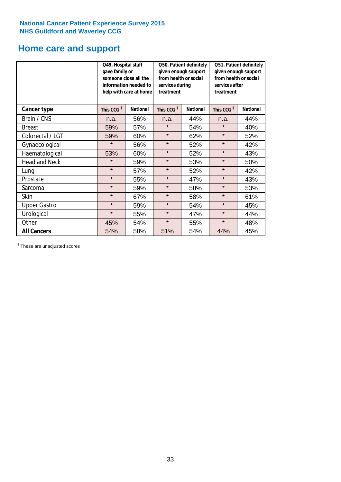### **Home care and support**

|                      | Q49. Hospital staff<br>gave family or | someone close all the<br>information needed to<br>help with care at home | Q50. Patient definitely<br>given enough support<br>from health or social<br>services during<br>treatment |                 | Q51. Patient definitely<br>given enough support<br>from health or social<br>services after<br>treatment |                 |
|----------------------|---------------------------------------|--------------------------------------------------------------------------|----------------------------------------------------------------------------------------------------------|-----------------|---------------------------------------------------------------------------------------------------------|-----------------|
| <b>Cancer type</b>   | This CCG <sup>\$</sup>                | <b>National</b>                                                          | This CCG <sup>\$</sup>                                                                                   | <b>National</b> | This CCG <sup>\$</sup>                                                                                  | <b>National</b> |
| Brain / CNS          | n.a.                                  | 56%                                                                      | n.a.                                                                                                     | 44%             | n.a.                                                                                                    | 44%             |
| <b>Breast</b>        | 59%                                   | 57%                                                                      | $\star$                                                                                                  | 54%             | $\star$                                                                                                 | 40%             |
| Colorectal / LGT     | 59%                                   | 60%                                                                      | $\star$                                                                                                  | 62%             | $\star$                                                                                                 | 52%             |
| Gynaecological       | $\star$                               | 56%                                                                      | $\star$                                                                                                  | 52%             | $\star$                                                                                                 | 42%             |
| Haematological       | 53%                                   | 60%                                                                      | $\star$                                                                                                  | 52%             | $\star$                                                                                                 | 43%             |
| <b>Head and Neck</b> | $\star$                               | 59%                                                                      | $\star$                                                                                                  | 53%             | $\star$                                                                                                 | 50%             |
| Lung                 | $\star$                               | 57%                                                                      | $\star$                                                                                                  | 52%             | $\star$                                                                                                 | 42%             |
| Prostate             | $\star$                               | 55%                                                                      | $\star$                                                                                                  | 47%             | $\star$                                                                                                 | 43%             |
| Sarcoma              | $\star$                               | 59%                                                                      | $\star$                                                                                                  | 58%             | $\star$                                                                                                 | 53%             |
| Skin                 | $\star$                               | 67%                                                                      | $\star$                                                                                                  | 58%             | $\star$                                                                                                 | 61%             |
| <b>Upper Gastro</b>  | $\star$                               | 59%                                                                      | $\star$                                                                                                  | 54%             | $\star$                                                                                                 | 45%             |
| Urological           | $\star$                               | 55%                                                                      | $\star$                                                                                                  | 47%             | $\star$                                                                                                 | 44%             |
| Other                | 45%                                   | 54%                                                                      | $\star$                                                                                                  | 55%             | $\star$                                                                                                 | 48%             |
| <b>All Cancers</b>   | 54%                                   | 58%                                                                      | 51%                                                                                                      | 54%             | 44%                                                                                                     | 45%             |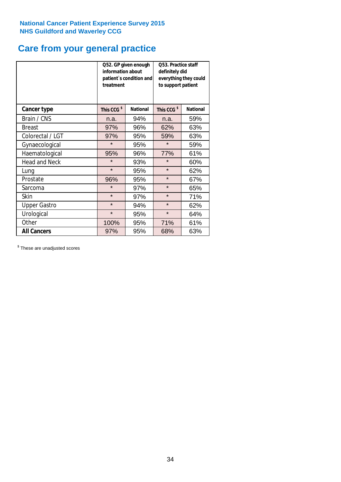# **Care from your general practice**

|                      | information about<br>treatment | Q52. GP given enough<br>patient's condition and | O53. Practice staff<br>definitely did<br>everything they could<br>to support patient |                 |  |
|----------------------|--------------------------------|-------------------------------------------------|--------------------------------------------------------------------------------------|-----------------|--|
| <b>Cancer type</b>   | This CCG <sup>\$</sup>         | <b>National</b>                                 | This CCG <sup>\$</sup>                                                               | <b>National</b> |  |
| Brain / CNS          | n.a.                           | 94%                                             | n.a.                                                                                 | 59%             |  |
| <b>Breast</b>        | 97%                            | 96%                                             | 62%                                                                                  | 63%             |  |
| Colorectal / LGT     | 97%                            | 95%                                             | 59%                                                                                  | 63%             |  |
| Gynaecological       | $\star$<br>95%                 |                                                 | $\star$                                                                              | 59%             |  |
| Haematological       | 95%                            | 96%                                             | 77%                                                                                  | 61%             |  |
| <b>Head and Neck</b> | $\star$                        | 93%                                             | $\star$                                                                              | 60%             |  |
| Lung                 | $\star$                        | 95%                                             | $\star$                                                                              | 62%             |  |
| Prostate             | 96%                            | 95%                                             | $\star$                                                                              | 67%             |  |
| Sarcoma              | $\star$                        | 97%                                             | $\star$                                                                              | 65%             |  |
| Skin                 | $\star$                        | 97%                                             | $\star$                                                                              | 71%             |  |
| <b>Upper Gastro</b>  | $\star$                        | 94%                                             | $\star$                                                                              | 62%             |  |
| Urological           | $\star$                        | 95%                                             | $\star$                                                                              | 64%             |  |
| Other                | 100%                           | 95%                                             | 71%                                                                                  | 61%             |  |
| <b>All Cancers</b>   | 97%                            | 95%                                             | 68%                                                                                  | 63%             |  |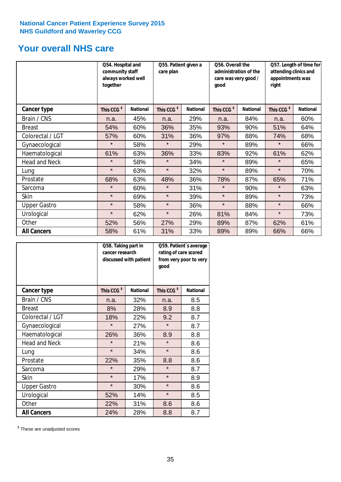### **Your overall NHS care**

|                      | Q54. Hospital and<br>community staff<br>always worked well<br>together | Q55. Patient given a<br>care plan |                        |                 | Q56. Overall the<br>administration of the<br>care was very good /<br>qood |                 | Q57. Length of time for<br>attending clinics and<br>appointments was<br>right |                 |
|----------------------|------------------------------------------------------------------------|-----------------------------------|------------------------|-----------------|---------------------------------------------------------------------------|-----------------|-------------------------------------------------------------------------------|-----------------|
| <b>Cancer type</b>   | This CCG <sup>\$</sup>                                                 | <b>National</b>                   | This CCG <sup>\$</sup> | <b>National</b> | This CCG <sup>\$</sup>                                                    | <b>National</b> | This CCG <sup>\$</sup>                                                        | <b>National</b> |
| Brain / CNS          | n.a.                                                                   | 45%                               | n.a.                   | 29%             | n.a.                                                                      | 84%             | n.a.                                                                          | 60%             |
| <b>Breast</b>        | 54%                                                                    | 60%                               | 36%                    | 35%             | 93%                                                                       | 90%             | 51%                                                                           | 64%             |
| Colorectal / LGT     | 57%                                                                    | 60%                               | 31%                    | 36%             | 97%                                                                       | 88%             | 74%                                                                           | 68%             |
| Gynaecological       | $\star$                                                                | 58%                               | $\star$                | 29%             | $\star$                                                                   | 89%             | $\star$                                                                       | 66%             |
| Haematological       | 61%                                                                    | 63%                               | 36%                    | 33%             | 83%                                                                       | 92%             | 61%                                                                           | 62%             |
| <b>Head and Neck</b> | $\star$                                                                | 58%                               | $\star$                | 34%             | $\star$                                                                   | 89%             | $\star$                                                                       | 65%             |
| Lung                 | $\star$                                                                | 63%                               | $\star$                | 32%             | $\star$                                                                   | 89%             | $\star$                                                                       | 70%             |
| Prostate             | 68%                                                                    | 63%                               | 48%                    | 36%             | 78%                                                                       | 87%             | 65%                                                                           | 71%             |
| Sarcoma              | $\star$                                                                | 60%                               | $\star$                | 31%             | $\star$                                                                   | 90%             | $\star$                                                                       | 63%             |
| Skin                 | $\star$                                                                | 69%                               | $\star$                | 39%             | $\star$                                                                   | 89%             | $\star$                                                                       | 73%             |
| <b>Upper Gastro</b>  | $\star$                                                                | 58%                               | $\star$                | 36%             | $\star$                                                                   | 88%             | $\star$                                                                       | 66%             |
| Urological           | $\star$                                                                | 62%                               | $\star$                | 26%             | 81%                                                                       | 84%             | $\star$                                                                       | 73%             |
| Other                | 52%                                                                    | 56%                               | 27%                    | 29%             | 89%                                                                       | 87%             | 62%                                                                           | 61%             |
| <b>All Cancers</b>   | 58%                                                                    | 61%                               | 31%                    | 33%             | 89%                                                                       | 89%             | 66%                                                                           | 66%             |

|                      | Q58. Taking part in<br>cancer research | discussed with patient | Q59. Patient's average<br>rating of care scored<br>from very poor to very<br>good |                 |  |
|----------------------|----------------------------------------|------------------------|-----------------------------------------------------------------------------------|-----------------|--|
| <b>Cancer type</b>   | This CCG <sup>\$</sup>                 | <b>National</b>        | This CCG <sup>\$</sup>                                                            | <b>National</b> |  |
| Brain / CNS          | n.a.                                   | 32%                    | n.a.                                                                              | 8.5             |  |
| <b>Breast</b>        | 8%                                     | 28%                    | 8.9                                                                               | 8.8             |  |
| Colorectal / LGT     | 18%                                    | 22%                    | 9.2                                                                               | 8.7             |  |
| Gynaecological       | $\star$<br>27%                         |                        | $\star$                                                                           | 8.7             |  |
| Haematological       | 26%                                    | 36%                    | 8.9                                                                               | 8.8             |  |
| <b>Head and Neck</b> | $\star$                                | 21%                    | $\star$                                                                           | 8.6             |  |
| Lung                 | $\star$                                | 34%                    | $\star$                                                                           | 8.6             |  |
| Prostate             | 22%                                    | 35%                    | 8.8                                                                               | 8.6             |  |
| Sarcoma              | $\star$                                | 29%                    | $\star$                                                                           | 8.7             |  |
| <b>Skin</b>          | $\star$                                | 17%                    | $\star$                                                                           | 8.9             |  |
| <b>Upper Gastro</b>  | $\star$                                | 30%                    | $\star$                                                                           | 8.6             |  |
| Urological           | 52%                                    | 14%                    | $\star$                                                                           | 8.5             |  |
| Other                | 22%                                    | 31%                    | 8.6                                                                               | 8.6             |  |
| <b>All Cancers</b>   | 24%                                    | 28%                    | 8.8                                                                               | 8.7             |  |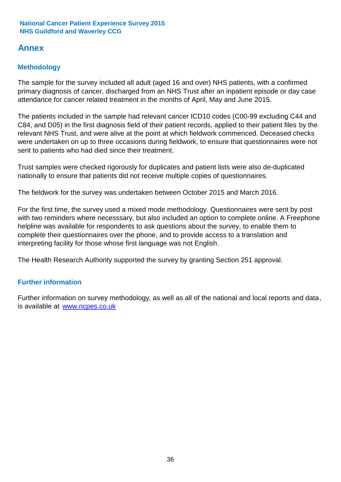### **Annex**

### **Methodology**

The sample for the survey included all adult (aged 16 and over) NHS patients, with a confirmed primary diagnosis of cancer, discharged from an NHS Trust after an inpatient episode or day case attendance for cancer related treatment in the months of April, May and June 2015.

The patients included in the sample had relevant cancer ICD10 codes (C00-99 excluding C44 and C84, and D05) in the first diagnosis field of their patient records, applied to their patient files by the relevant NHS Trust, and were alive at the point at which fieldwork commenced. Deceased checks were undertaken on up to three occasions during fieldwork, to ensure that questionnaires were not sent to patients who had died since their treatment.

Trust samples were checked rigorously for duplicates and patient lists were also de-duplicated nationally to ensure that patients did not receive multiple copies of questionnaires.

The fieldwork for the survey was undertaken between October 2015 and March 2016.

For the first time, the survey used a mixed mode methodology. Questionnaires were sent by post with two reminders where necesssary, but also included an option to complete online. A Freephone helpline was available for respondents to ask questions about the survey, to enable them to complete their questionnaires over the phone, and to provide access to a translation and interpreting facility for those whose first language was not English.

The Health Research Authority supported the survey by granting Section 251 approval.

#### **Further information**

Further information on survey methodology, as well as all of the national and local reports and data, is available at www.ncpes.co.uk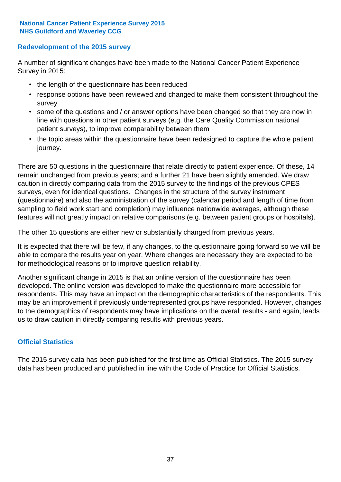#### **Redevelopment of the 2015 survey**

A number of significant changes have been made to the National Cancer Patient Experience Survey in 2015:

- the length of the questionnaire has been reduced
- response options have been reviewed and changed to make them consistent throughout the survey
- some of the questions and / or answer options have been changed so that they are now in line with questions in other patient surveys (e.g. the Care Quality Commission national patient surveys), to improve comparability between them
- the topic areas within the questionnaire have been redesigned to capture the whole patient journey.

There are 50 questions in the questionnaire that relate directly to patient experience. Of these, 14 remain unchanged from previous years; and a further 21 have been slightly amended. We draw caution in directly comparing data from the 2015 survey to the findings of the previous CPES surveys, even for identical questions. Changes in the structure of the survey instrument (questionnaire) and also the administration of the survey (calendar period and length of time from sampling to field work start and completion) may influence nationwide averages, although these features will not greatly impact on relative comparisons (e.g. between patient groups or hospitals).

The other 15 questions are either new or substantially changed from previous years.

It is expected that there will be few, if any changes, to the questionnaire going forward so we will be able to compare the results year on year. Where changes are necessary they are expected to be for methodological reasons or to improve question reliability.

Another significant change in 2015 is that an online version of the questionnaire has been developed. The online version was developed to make the questionnaire more accessible for respondents. This may have an impact on the demographic characteristics of the respondents. This may be an improvement if previously underrepresented groups have responded. However, changes to the demographics of respondents may have implications on the overall results - and again, leads us to draw caution in directly comparing results with previous years.

#### **Official Statistics**

The 2015 survey data has been published for the first time as Official Statistics. The 2015 survey data has been produced and published in line with the Code of Practice for Official Statistics.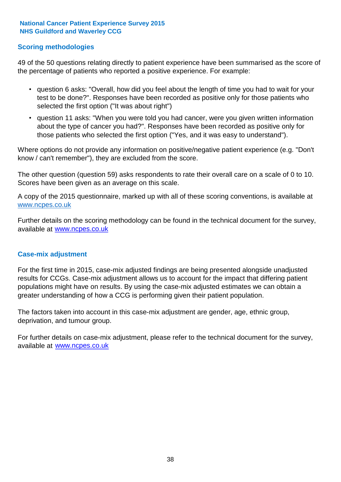#### **Scoring methodologies**

49 of the 50 questions relating directly to patient experience have been summarised as the score of the percentage of patients who reported a positive experience. For example:

- question 6 asks: "Overall, how did you feel about the length of time you had to wait for your test to be done?". Responses have been recorded as positive only for those patients who selected the first option ("It was about right")
- question 11 asks: "When you were told you had cancer, were you given written information about the type of cancer you had?". Responses have been recorded as positive only for those patients who selected the first option ("Yes, and it was easy to understand").

Where options do not provide any information on positive/negative patient experience (e.g. "Don't know / can't remember"), they are excluded from the score.

The other question (question 59) asks respondents to rate their overall care on a scale of 0 to 10. Scores have been given as an average on this scale.

A copy of the 2015 questionnaire, marked up with all of these scoring conventions, is available at www.ncpes.co.uk

Further details on the scoring methodology can be found in the technical document for the survey, available at <u>www.ncpes.co.uk</u>

#### **Case-mix adjustment**

For the first time in 2015, case-mix adjusted findings are being presented alongside unadjusted results for CCGs. Case-mix adjustment allows us to account for the impact that differing patient populations might have on results. By using the case-mix adjusted estimates we can obtain a greater understanding of how a CCG is performing given their patient population.

The factors taken into account in this case-mix adjustment are gender, age, ethnic group, deprivation, and tumour group.

For further details on case-mix adjustment, please refer to the technical document for the survey, available at www.ncpes.co.uk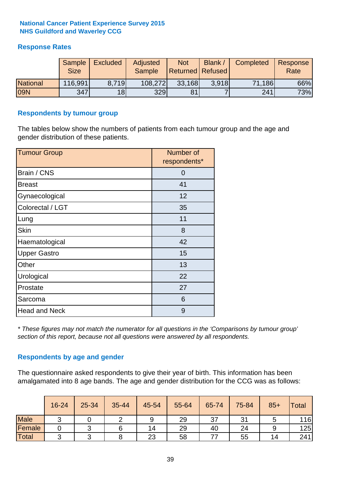#### **Response Rates**

|                 | Sample<br><b>Size</b> | <b>Excluded</b> | Adjusted<br><b>Sample</b> | <b>Not</b><br><b>Returned Refused</b> | Blank / | Completed | Response<br>Rate |
|-----------------|-----------------------|-----------------|---------------------------|---------------------------------------|---------|-----------|------------------|
| <b>National</b> | 116,991               | 8.719           | 108,272                   | 33,168                                | 3.918   | 71,186    | 66%              |
| <b>09N</b>      | 347                   | 18 <sup>l</sup> | 329                       | 81                                    |         | 241       | 73%              |

#### **Respondents by tumour group**

The tables below show the numbers of patients from each tumour group and the age and gender distribution of these patients.

| <b>Tumour Group</b>  | Number of<br>respondents* |  |  |
|----------------------|---------------------------|--|--|
| Brain / CNS          | 0                         |  |  |
| <b>Breast</b>        | 41                        |  |  |
| Gynaecological       | 12                        |  |  |
| Colorectal / LGT     | 35                        |  |  |
| Lung                 | 11                        |  |  |
| <b>Skin</b>          | 8                         |  |  |
| Haematological       | 42                        |  |  |
| <b>Upper Gastro</b>  | 15                        |  |  |
| Other                | 13                        |  |  |
| Urological           | 22                        |  |  |
| Prostate             | 27                        |  |  |
| Sarcoma              | 6                         |  |  |
| <b>Head and Neck</b> | 9                         |  |  |

*\* These figures may not match the numerator for all questions in the 'Comparisons by tumour group' section of this report, because not all questions were answered by all respondents.*

#### **Respondents by age and gender**

The questionnaire asked respondents to give their year of birth. This information has been amalgamated into 8 age bands. The age and gender distribution for the CCG was as follows:

|             | 16-24           | 25-34 | 35-44 | 45-54 | 55-64 | 65-74 | 75-84 | $85+$ | Total |
|-------------|-----------------|-------|-------|-------|-------|-------|-------|-------|-------|
| <b>Male</b> | $\sqrt{2}$<br>ັ |       |       | 9     | 29    | 37    | 31    |       | 116   |
| Female      |                 |       |       | 14    | 29    | 40    | 24    |       | 125   |
| Total       | ⌒               |       |       | 23    | 58    |       | 55    | 14    | 241   |